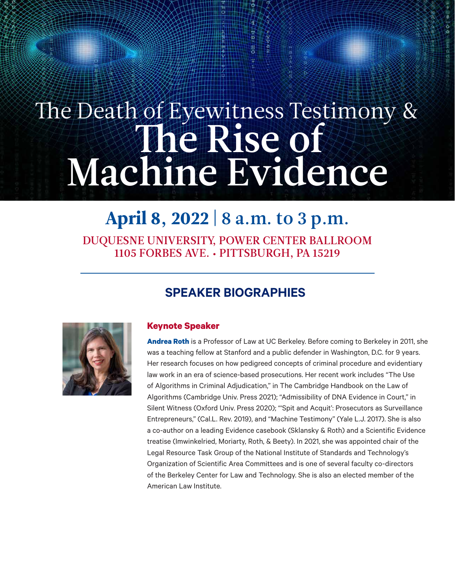## The Death of Eyewitness Testimony & The Rise of Machine Evidence

## April 8, 2022 | 8 a.m. to 3 p.m.

DUQUESNE UNIVERSITY, POWER CENTER BALLROOM 1105 FORBES AVE. • PITTSBURGH, PA 15219

## **SPEAKER BIOGRAPHIES**



## **Keynote Speaker**

**[Andrea Roth](https://www.law.berkeley.edu/our-faculty/faculty-profiles/andrea-roth/#tab_profile)** is a Professor of Law at UC Berkeley. Before coming to Berkeley in 2011, she was a teaching fellow at Stanford and a public defender in Washington, D.C. for 9 years. Her research focuses on how pedigreed concepts of criminal procedure and evidentiary law work in an era of science-based prosecutions. Her recent work includes "The Use of Algorithms in Criminal Adjudication," in The Cambridge Handbook on the Law of Algorithms (Cambridge Univ. Press 2021); "Admissibility of DNA Evidence in Court," in Silent Witness (Oxford Univ. Press 2020); "'Spit and Acquit': Prosecutors as Surveillance Entrepreneurs," (Cal.L. Rev. 2019), and "Machine Testimony" (Yale L.J. 2017). She is also a co-author on a leading Evidence casebook (Sklansky & Roth) and a Scientific Evidence treatise (Imwinkelried, Moriarty, Roth, & Beety). In 2021, she was appointed chair of the Legal Resource Task Group of the National Institute of Standards and Technology's Organization of Scientific Area Committees and is one of several faculty co-directors of the Berkeley Center for Law and Technology. She is also an elected member of the American Law Institute.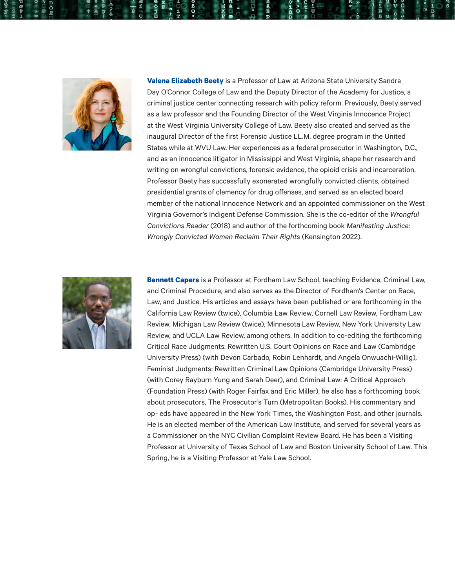

**[Valena Elizabeth Beety](https://ccj.asu.edu/content/valena-beety)** is a Professor of Law at Arizona State University Sandra Day O'Connor College of Law and the Deputy Director of the Academy for Justice, a criminal justice center connecting research with policy reform. Previously, Beety served as a law professor and the Founding Director of the West Virginia Innocence Project at the West Virginia University College of Law. Beety also created and served as the inaugural Director of the first Forensic Justice LL.M. degree program in the United States while at WVU Law. Her experiences as a federal prosecutor in Washington, D.C., and as an innocence litigator in Mississippi and West Virginia, shape her research and writing on wrongful convictions, forensic evidence, the opioid crisis and incarceration. Professor Beety has successfully exonerated wrongfully convicted clients, obtained presidential grants of clemency for drug offenses, and served as an elected board member of the national Innocence Network and an appointed commissioner on the West Virginia Governor's Indigent Defense Commission. She is the co-editor of the *[Wrongful](https://cap-press.com/books/isbn/9781531006327/The-Wrongful-Convictions-Reader)  [Convictions Reader](https://cap-press.com/books/isbn/9781531006327/The-Wrongful-Convictions-Reader)* (2018) and author of the forthcoming book *[Manifesting Justice:](https://bookshop.org/books/manifesting-justice-wrongly-convicted-women-reclaim-their-rights/9780806541518)  [Wrongly Convicted Women Reclaim Their Rights](https://bookshop.org/books/manifesting-justice-wrongly-convicted-women-reclaim-their-rights/9780806541518)* (Kensington 2022).



**[Bennett Capers](https://www.fordham.edu/info/29956/bennett_capers/)** is a Professor at Fordham Law School, teaching Evidence, Criminal Law, and Criminal Procedure, and also serves as the Director of Fordham's Center on Race, Law, and Justice. His articles and essays have been published or are forthcoming in the California Law Review (twice), Columbia Law Review, Cornell Law Review, Fordham Law Review, Michigan Law Review (twice), Minnesota Law Review, New York University Law Review, and UCLA Law Review, among others. In addition to co-editing the forthcoming Critical Race Judgments: Rewritten U.S. Court Opinions on Race and Law (Cambridge University Press) (with Devon Carbado, Robin Lenhardt, and Angela Onwuachi-Willig), Feminist Judgments: Rewritten Criminal Law Opinions (Cambridge University Press) (with Corey Rayburn Yung and Sarah Deer), and Criminal Law: A Critical Approach (Foundation Press) (with Roger Fairfax and Eric Miller), he also has a forthcoming book about prosecutors, The Prosecutor's Turn (Metropolitan Books). His commentary and op- eds have appeared in the New York Times, the Washington Post, and other journals. He is an elected member of the American Law Institute, and served for several years as a Commissioner on the NYC Civilian Complaint Review Board. He has been a Visiting Professor at University of Texas School of Law and Boston University School of Law. This Spring, he is a Visiting Professor at Yale Law School.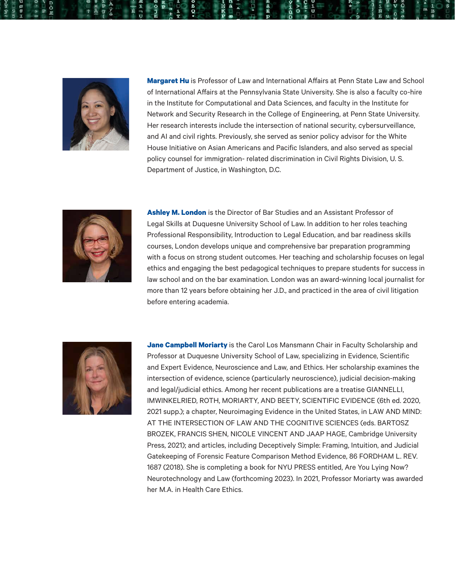

**[Margaret Hu](https://pennstatelaw.psu.edu/faculty/hu#:~:text=Professor%20Margaret%20Hu%20is%20a%20Professor%20of%20Law,Penn%20State%20Law%27s%20inaugural%20Dean%20for%20Non-JD%20Programs.)** is Professor of Law and International Affairs at Penn State Law and School of International Affairs at the Pennsylvania State University. She is also a faculty co-hire in the Institute for Computational and Data Sciences, and faculty in the Institute for Network and Security Research in the College of Engineering, at Penn State University. Her research interests include the intersection of national security, cybersurveillance, and AI and civil rights. Previously, she served as senior policy advisor for the White House Initiative on Asian Americans and Pacific Islanders, and also served as special policy counsel for immigration- related discrimination in Civil Rights Division, U. S. Department of Justice, in Washington, D.C.



**[Ashley M. London](https://www.duq.edu/academics/faculty/ashley-m-london)** is the Director of Bar Studies and an Assistant Professor of Legal Skills at Duquesne University School of Law. In addition to her roles teaching Professional Responsibility, Introduction to Legal Education, and bar readiness skills courses, London develops unique and comprehensive bar preparation programming with a focus on strong student outcomes. Her teaching and scholarship focuses on legal ethics and engaging the best pedagogical techniques to prepare students for success in law school and on the bar examination. London was an award-winning local journalist for more than 12 years before obtaining her J.D., and practiced in the area of civil litigation before entering academia.



**[Jane Campbell Moriarty](https://www.duq.edu/academics/faculty/jane-moriarty)** is the Carol Los Mansmann Chair in Faculty Scholarship and Professor at Duquesne University School of Law, specializing in Evidence, Scientific and Expert Evidence, Neuroscience and Law, and Ethics. Her scholarship examines the intersection of evidence, science (particularly neuroscience), judicial decision-making and legal/judicial ethics. Among her recent publications are a treatise GIANNELLI, IMWINKELRIED, ROTH, MORIARTY, AND BEETY, SCIENTIFIC EVIDENCE (6th ed. 2020, 2021 supp.); a chapter, Neuroimaging Evidence in the United States, in LAW AND MIND: AT THE INTERSECTION OF LAW AND THE COGNITIVE SCIENCES (eds. BARTOSZ BROZEK, FRANCIS SHEN, NICOLE VINCENT AND JAAP HAGE, Cambridge University Press, 2021); and articles, including Deceptively Simple: Framing, Intuition, and Judicial Gatekeeping of Forensic Feature Comparison Method Evidence, 86 FORDHAM L. REV. 1687 (2018). She is completing a book for NYU PRESS entitled, Are You Lying Now? Neurotechnology and Law (forthcoming 2023). In 2021, Professor Moriarty was awarded her M.A. in Health Care Ethics.